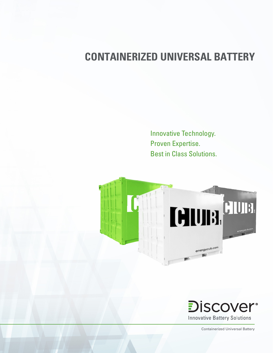# **CONTAINERIZED UNIVERSAL BATTERY**

Innovative Technology. Proven Expertise. Best in Class Solutions.





Containerized Universal Battery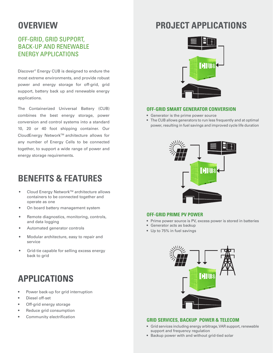### **OVERVIEW**

### OFF-GRID, GRID SUPPORT, BACK-UP AND RENEWABLE ENERGY APPLICATIONS

Discover® Energy CUB is designed to endure the most extreme environments, and provide robust power and energy storage for off-grid, grid support, battery back up and renewable energy applications.

The Containerized Universal Battery (CUB) combines the best energy storage, power conversion and control systems into a standard 10, 20 or 40 foot shipping container. Our CloudEnergy Network™ architecture allows for any number of Energy Cells to be connected together, to support a wide range of power and energy storage requirements.

## **BENEFITS & FEATURES**

- Cloud Energy Network™ architecture allows containers to be connected together and operate as one
- On board battery management system
- Remote diagnostics, monitoring, controls, and data logging
- Automated generator controls
- Modular architecture, easy to repair and service
- Grid-tie capable for selling excess energy back to grid

# **APPLICATIONS**

- Power back-up for grid interruption
- Diesel off-set
- Off-grid energy storage
- Reduce grid consumption
- Community electrification

## **PROJECT APPLICATIONS**



#### **OFF-GRID SMART GENERATOR CONVERSION**

- Generator is the prime power source
- The CUB allows generators to run less frequently and at optimal power, resulting in fuel savings and improved cycle life duration



#### **OFF-GRID PRIME PV POWER**

- Prime power source is PV, excess power is stored in batteries
- Generator acts as backup
- Up to 75% in fuel savings



#### **GRID SERVICES, BACKUP POWER & TELECOM**

- Grid services including energy arbitrage, VAR support, renewable support and frequency regulation
- Backup power with and without grid-tied solar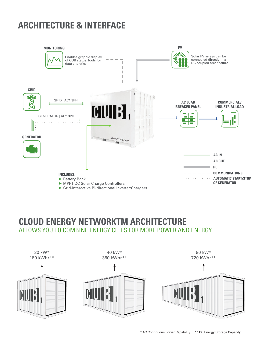## **ARCHITECTURE & INTERFACE**



### **CLOUD ENERGY NETWORKTM ARCHITECTURE** ALLOWS YOU TO COMBINE ENERGY CELLS FOR MORE POWER AND ENERGY